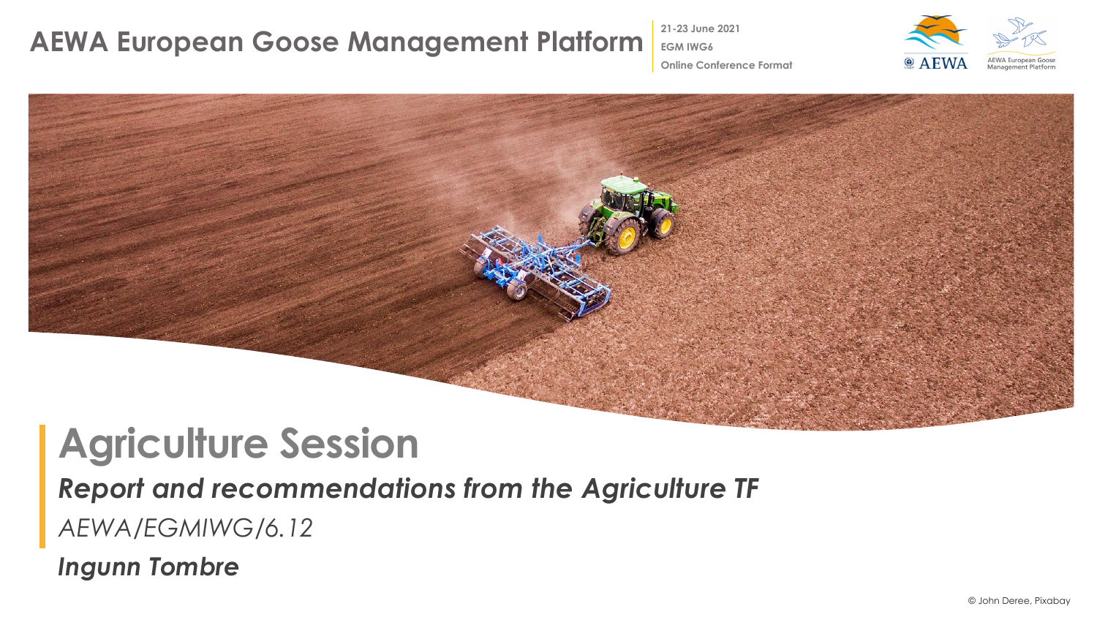### **AEWA European Goose Management Platform** 201-23 June 2021

**EGM IWG6 Online Conference Format**



# **Agriculture Session**

#### *Report and recommendations from the Agriculture TF*

*AEWA/EGMIWG/6.12*

*Ingunn Tombre*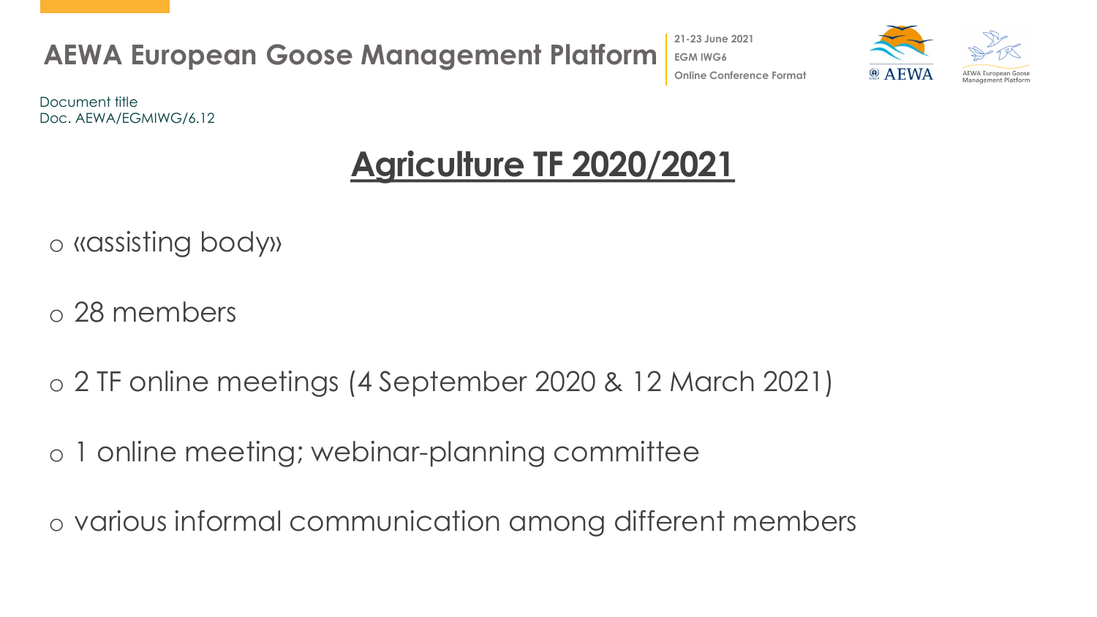

**21-23 June 2021**



Document title Doc. AEWA/EGMIWG/6.12

## **Agriculture TF 2020/2021**

o «assisting body»

o 28 members

o 2 TF online meetings (4 September 2020 & 12 March 2021)

o 1 online meeting; webinar-planning committee

o various informal communication among different members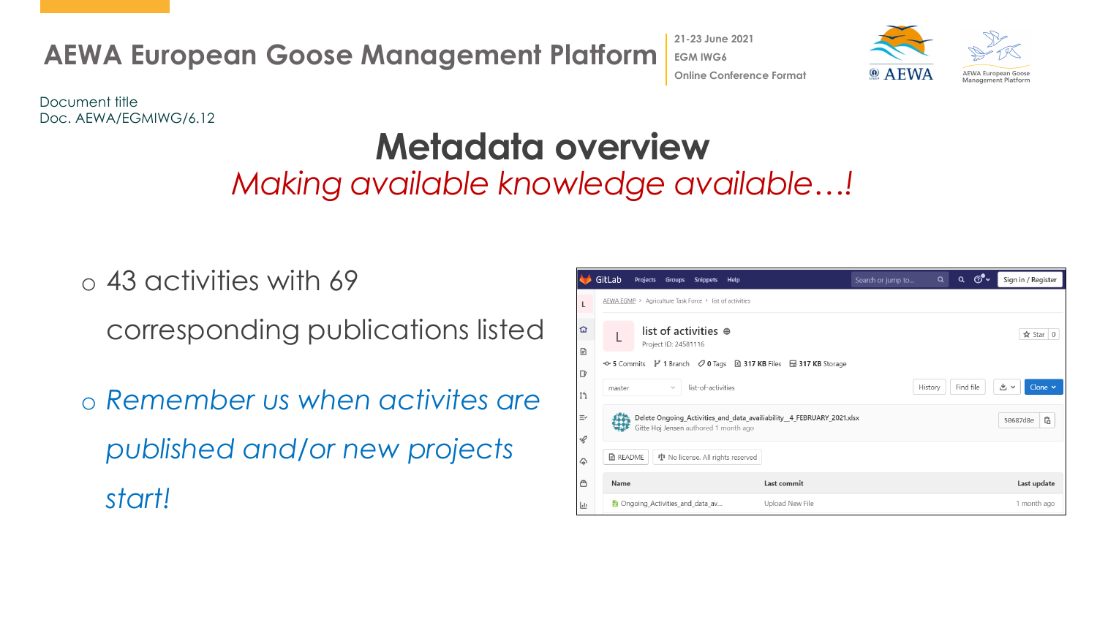**AEWA European Goose Management Platform 21-23 June 2021 EGM IWG6 Online Conference Format**





Document title Doc. AEWA/EGMIWG/6.12

## **Metadata overview**

*Making available knowledge available…!*

o 43 activities with 69 corresponding publications listed

o *Remember us when activites are published and/or new projects start!* 

|                          | GitLab | Projects                                                                                                       | Groups               | <b>Snippets</b>             | Help |                                                                                                  | Search or jump to | Q       | Q         | $\circledcirc$ |    | Sign in / Register       |  |  |
|--------------------------|--------|----------------------------------------------------------------------------------------------------------------|----------------------|-----------------------------|------|--------------------------------------------------------------------------------------------------|-------------------|---------|-----------|----------------|----|--------------------------|--|--|
| L                        |        | AEWA EGMP > Agriculture Task Force > list of activities                                                        |                      |                             |      |                                                                                                  |                   |         |           |                |    |                          |  |  |
| 屳<br>B                   |        |                                                                                                                | Project ID: 24581116 | list of activities $\oplus$ |      |                                                                                                  |                   |         |           |                |    | ☆ Star<br>$\overline{0}$ |  |  |
| $\Box$<br>$\mathbb{I}^n$ | master |                                                                                                                | $\mathcal{S}$        | list-of-activities          |      | → 5 Commits $\mathcal V$ 1 Branch $\oslash$ 0 Tags <b>E 317 KB</b> Files <b>E 317 KB</b> Storage |                   | History | Find file |                | 出し | Clone $\sim$             |  |  |
| $\equiv$<br>•Q           |        | Delete Ongoing_Activities_and_data_availiability_4_FEBRUARY_2021.xlsx<br>Gitte Hoj Jensen authored 1 month ago |                      |                             |      |                                                                                                  |                   |         |           |                |    | Ĝ<br>50687d8e            |  |  |
| ♤                        |        | <b>B</b> README<br><b>車</b> No license. All rights reserved                                                    |                      |                             |      |                                                                                                  |                   |         |           |                |    |                          |  |  |
| ᠿ                        | Name   |                                                                                                                |                      |                             |      | Last commit                                                                                      |                   |         |           |                |    | Last update              |  |  |
| 回                        |        | <b>R</b> Ongoing Activities and data av                                                                        |                      |                             |      | Upload New File                                                                                  |                   |         |           |                |    | 1 month ago              |  |  |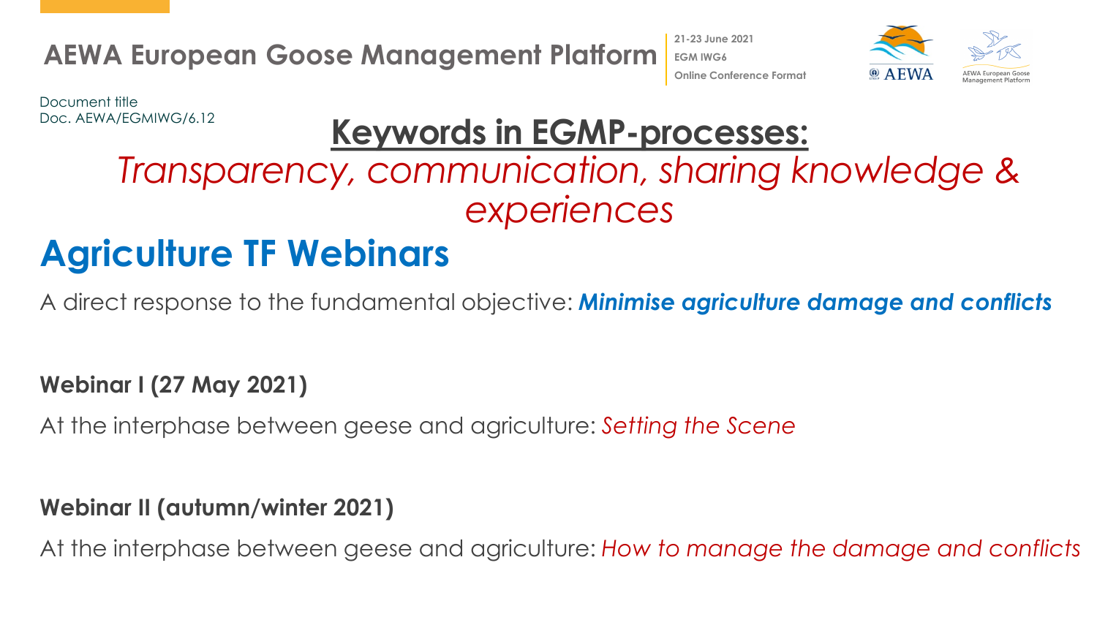**21-23 June 2021 EGM IWG6**



**Online Conference Format**

Document title Doc. AEWA/EGMIWG/6.12

### **Keywords in EGMP-processes:**

## *Transparency, communication, sharing knowledge & experiences*

### **Agriculture TF Webinars**

A direct response to the fundamental objective: *Minimise agriculture damage and conflicts*

#### **Webinar I (27 May 2021)**

At the interphase between geese and agriculture: *Setting the Scene*

#### **Webinar II (autumn/winter 2021)**

At the interphase between geese and agriculture: *How to manage the damage and conflicts*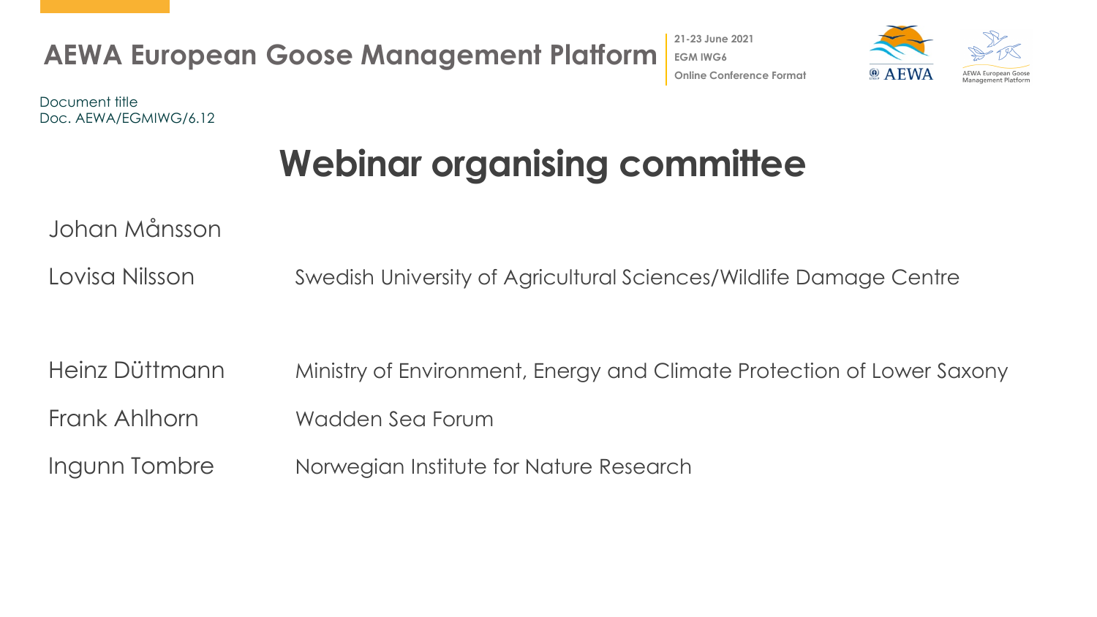

**21-23 June 2021 EGM IWG6 Online Conference Format**



Document title Doc. AEWA/EGMIWG/6.12

## **Webinar organising committee**

Johan Månsson

Lovisa Nilsson Swedish University of Agricultural Sciences/Wildlife Damage Centre

Heinz Düttmann Ministry of Environment, Energy and Climate Protection of Lower Saxony Frank Ahlhorn Wadden Sea Forum Ingunn Tombre Norwegian Institute for Nature Research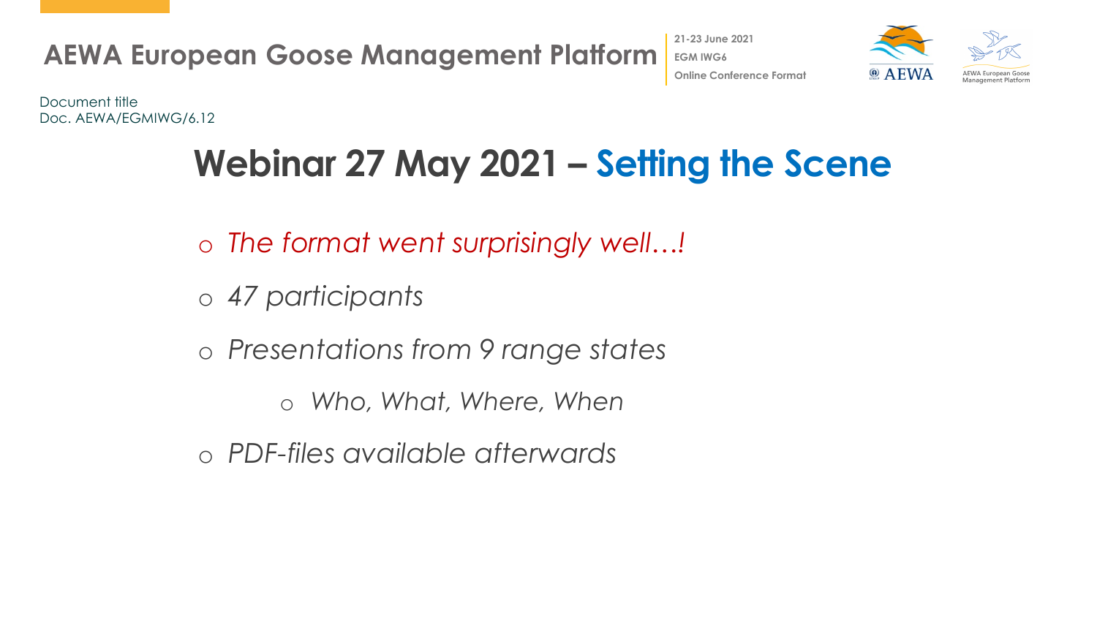



Document title Doc. AEWA/EGMIWG/6.12

## **Webinar 27 May 2021 – Setting the Scene**

- o *The format went surprisingly well…!*
- o *47 participants*
- o *Presentations from 9 range states*
	- o *Who, What, Where, When*
- o *PDF-files available afterwards*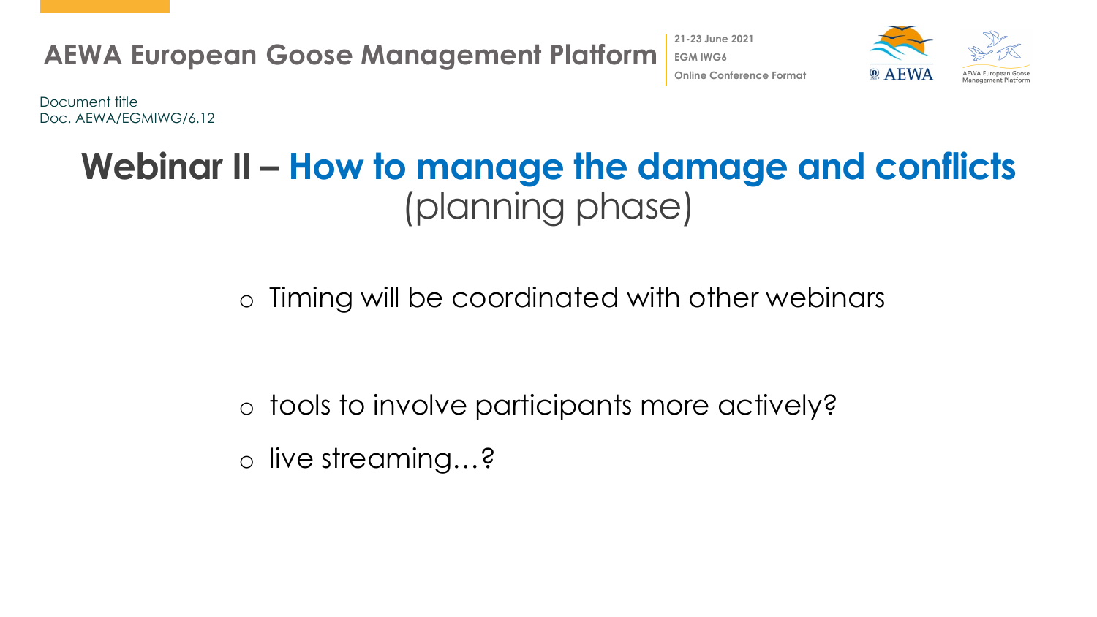



Document title Doc. AEWA/EGMIWG/6.12

### **Webinar II – How to manage the damage and conflicts**  (planning phase)

o Timing will be coordinated with other webinars

o tools to involve participants more actively? o live streaming…?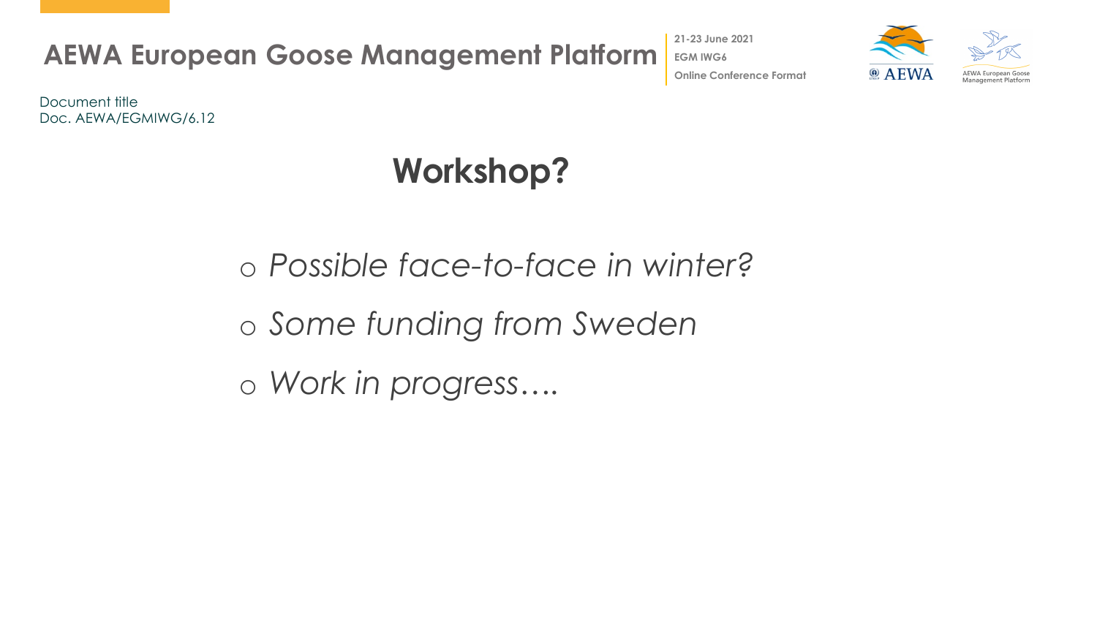**21-23 June 2021**



**Online Conference Format**

Document title Doc. AEWA/EGMIWG/6.12

## **Workshop?**

o *Possible face-to-face in winter?* o *Some funding from Sweden* o *Work in progress….*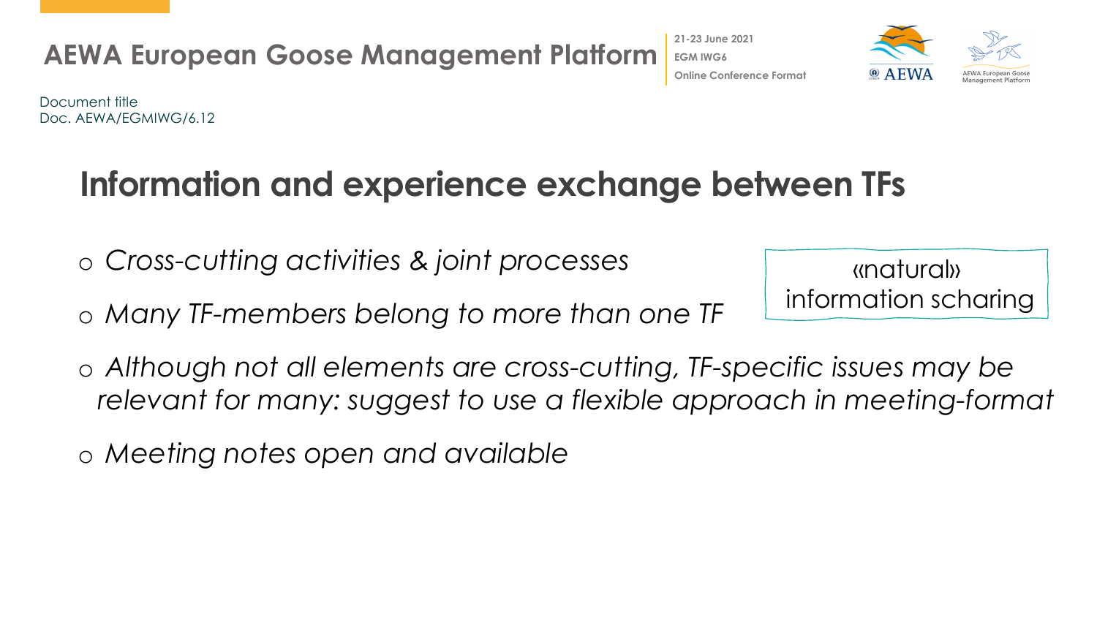

**Online Conference Format**

Document title Doc. AEWA/EGMIWG/6.12

### **Information and experience exchange between TFs**

- o *Cross-cutting activities & joint processes*
- o *Many TF-members belong to more than one TF*

«natural» information scharing

- o *Although not all elements are cross-cutting, TF-specific issues may be relevant for many: suggest to use a flexible approach in meeting-format*
- o *Meeting notes open and available*